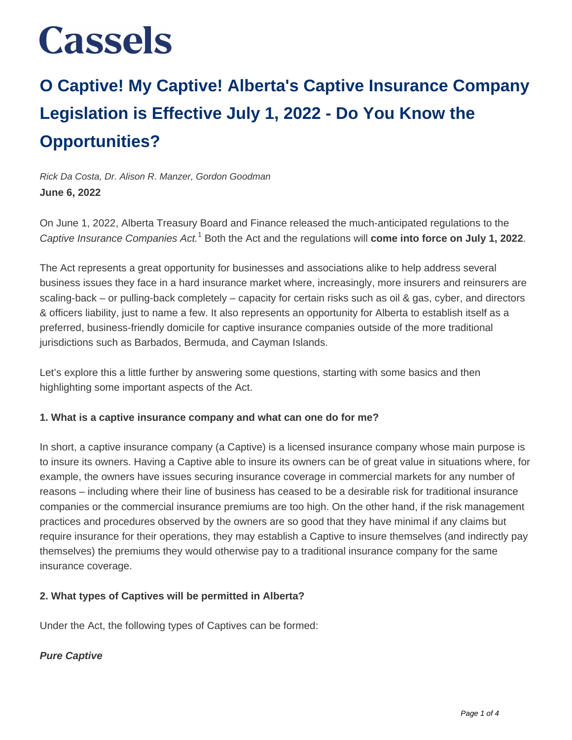### **O Captive! My Captive! Alberta's Captive Insurance Company Legislation is Effective July 1, 2022 - Do You Know the Opportunities?**

Rick Da Costa, Dr. Alison R. Manzer, Gordon Goodman **June 6, 2022**

On June 1, 2022, Alberta Treasury Board and Finance released the much-anticipated regulations to the Captive Insurance Companies Act.<sup>1</sup> Both the Act and the regulations will **come into force on July 1, 2022**.

The Act represents a great opportunity for businesses and associations alike to help address several business issues they face in a hard insurance market where, increasingly, more insurers and reinsurers are scaling-back – or pulling-back completely – capacity for certain risks such as oil & gas, cyber, and directors & officers liability, just to name a few. It also represents an opportunity for Alberta to establish itself as a preferred, business-friendly domicile for captive insurance companies outside of the more traditional jurisdictions such as Barbados, Bermuda, and Cayman Islands.

Let's explore this a little further by answering some questions, starting with some basics and then highlighting some important aspects of the Act.

#### **1. What is a captive insurance company and what can one do for me?**

In short, a captive insurance company (a Captive) is a licensed insurance company whose main purpose is to insure its owners. Having a Captive able to insure its owners can be of great value in situations where, for example, the owners have issues securing insurance coverage in commercial markets for any number of reasons – including where their line of business has ceased to be a desirable risk for traditional insurance companies or the commercial insurance premiums are too high. On the other hand, if the risk management practices and procedures observed by the owners are so good that they have minimal if any claims but require insurance for their operations, they may establish a Captive to insure themselves (and indirectly pay themselves) the premiums they would otherwise pay to a traditional insurance company for the same insurance coverage.

#### **2. What types of Captives will be permitted in Alberta?**

Under the Act, the following types of Captives can be formed:

#### **Pure Captive**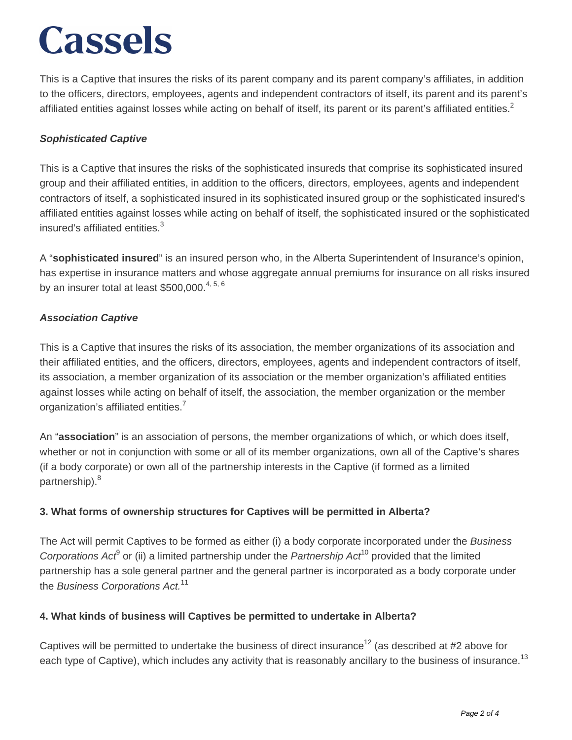This is a Captive that insures the risks of its parent company and its parent company's affiliates, in addition to the officers, directors, employees, agents and independent contractors of itself, its parent and its parent's affiliated entities against losses while acting on behalf of itself, its parent or its parent's affiliated entities.<sup>2</sup>

#### **Sophisticated Captive**

This is a Captive that insures the risks of the sophisticated insureds that comprise its sophisticated insured group and their affiliated entities, in addition to the officers, directors, employees, agents and independent contractors of itself, a sophisticated insured in its sophisticated insured group or the sophisticated insured's affiliated entities against losses while acting on behalf of itself, the sophisticated insured or the sophisticated insured's affiliated entities.<sup>3</sup>

A "**sophisticated insured**" is an insured person who, in the Alberta Superintendent of Insurance's opinion, has expertise in insurance matters and whose aggregate annual premiums for insurance on all risks insured by an insurer total at least  $$500,000.<sup>4,5,6</sup>$ 

#### **Association Captive**

This is a Captive that insures the risks of its association, the member organizations of its association and their affiliated entities, and the officers, directors, employees, agents and independent contractors of itself, its association, a member organization of its association or the member organization's affiliated entities against losses while acting on behalf of itself, the association, the member organization or the member organization's affiliated entities.<sup>7</sup>

An "**association**" is an association of persons, the member organizations of which, or which does itself, whether or not in conjunction with some or all of its member organizations, own all of the Captive's shares (if a body corporate) or own all of the partnership interests in the Captive (if formed as a limited partnership).<sup>8</sup>

#### **3. What forms of ownership structures for Captives will be permitted in Alberta?**

The Act will permit Captives to be formed as either (i) a body corporate incorporated under the Business Corporations Act<sup>9</sup> or (ii) a limited partnership under the Partnership Act<sup>10</sup> provided that the limited partnership has a sole general partner and the general partner is incorporated as a body corporate under the Business Corporations Act.<sup>11</sup>

#### **4. What kinds of business will Captives be permitted to undertake in Alberta?**

Captives will be permitted to undertake the business of direct insurance<sup>12</sup> (as described at #2 above for each type of Captive), which includes any activity that is reasonably ancillary to the business of insurance.<sup>13</sup>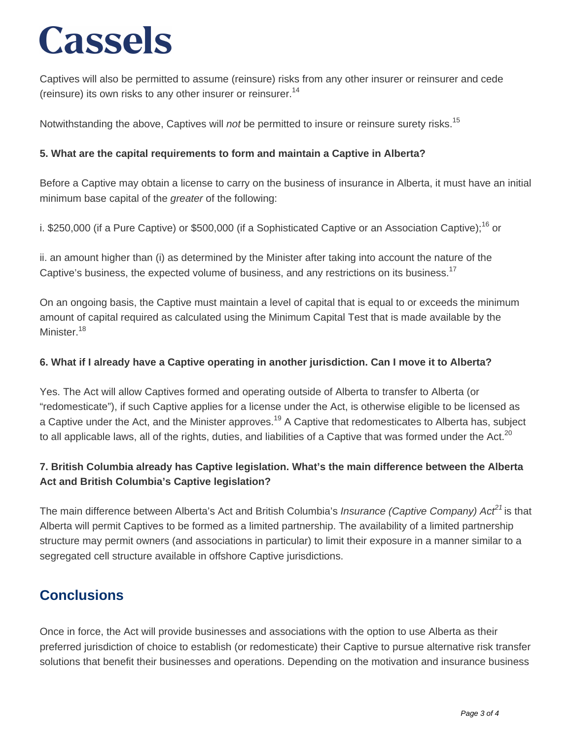Captives will also be permitted to assume (reinsure) risks from any other insurer or reinsurer and cede (reinsure) its own risks to any other insurer or reinsurer.<sup>14</sup>

Notwithstanding the above, Captives will not be permitted to insure or reinsure surety risks.<sup>15</sup>

#### **5. What are the capital requirements to form and maintain a Captive in Alberta?**

Before a Captive may obtain a license to carry on the business of insurance in Alberta, it must have an initial minimum base capital of the greater of the following:

i. \$250,000 (if a Pure Captive) or \$500,000 (if a Sophisticated Captive or an Association Captive);<sup>16</sup> or

ii. an amount higher than (i) as determined by the Minister after taking into account the nature of the Captive's business, the expected volume of business, and any restrictions on its business.<sup>17</sup>

On an ongoing basis, the Captive must maintain a level of capital that is equal to or exceeds the minimum amount of capital required as calculated using the Minimum Capital Test that is made available by the Minister.<sup>18</sup>

#### **6. What if I already have a Captive operating in another jurisdiction. Can I move it to Alberta?**

Yes. The Act will allow Captives formed and operating outside of Alberta to transfer to Alberta (or "redomesticate"), if such Captive applies for a license under the Act, is otherwise eligible to be licensed as a Captive under the Act, and the Minister approves.<sup>19</sup> A Captive that redomesticates to Alberta has, subject to all applicable laws, all of the rights, duties, and liabilities of a Captive that was formed under the Act. $^{20}$ 

#### **7. British Columbia already has Captive legislation. What's the main difference between the Alberta Act and British Columbia's Captive legislation?**

The main difference between Alberta's Act and British Columbia's *Insurance (Captive Company) Act*<sup>21</sup> is that Alberta will permit Captives to be formed as a limited partnership. The availability of a limited partnership structure may permit owners (and associations in particular) to limit their exposure in a manner similar to a segregated cell structure available in offshore Captive jurisdictions.

### **Conclusions**

Once in force, the Act will provide businesses and associations with the option to use Alberta as their preferred jurisdiction of choice to establish (or redomesticate) their Captive to pursue alternative risk transfer solutions that benefit their businesses and operations. Depending on the motivation and insurance business